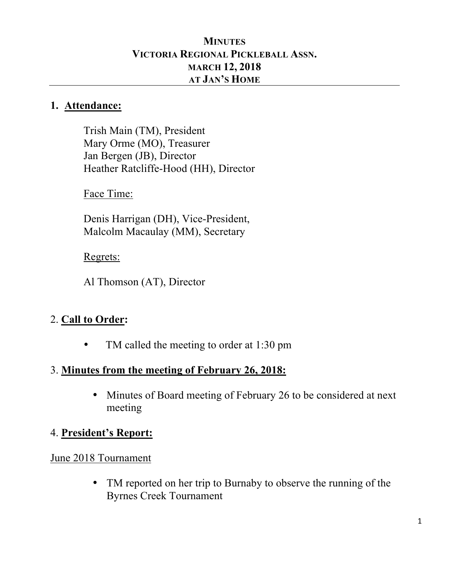#### **MINUTES VICTORIA REGIONAL PICKLEBALL ASSN. MARCH 12, 2018 AT JAN'S HOME**

#### **1. Attendance:**

Trish Main (TM), President Mary Orme (MO), Treasurer Jan Bergen (JB), Director Heather Ratcliffe-Hood (HH), Director

Face Time:

Denis Harrigan (DH), Vice-President, Malcolm Macaulay (MM), Secretary

#### Regrets:

Al Thomson (AT), Director

# 2. **Call to Order:**

• TM called the meeting to order at 1:30 pm

## 3. **Minutes from the meeting of February 26, 2018:**

• Minutes of Board meeting of February 26 to be considered at next meeting

#### 4. **President's Report:**

#### June 2018 Tournament

• TM reported on her trip to Burnaby to observe the running of the Byrnes Creek Tournament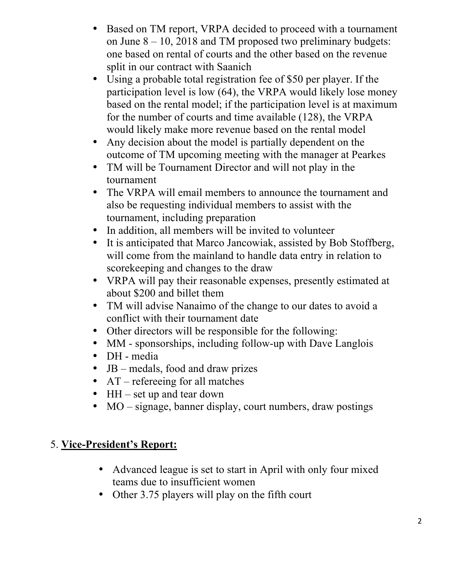- Based on TM report, VRPA decided to proceed with a tournament on June  $8 - 10$ , 2018 and TM proposed two preliminary budgets: one based on rental of courts and the other based on the revenue split in our contract with Saanich
- Using a probable total registration fee of \$50 per player. If the participation level is low (64), the VRPA would likely lose money based on the rental model; if the participation level is at maximum for the number of courts and time available (128), the VRPA would likely make more revenue based on the rental model
- Any decision about the model is partially dependent on the outcome of TM upcoming meeting with the manager at Pearkes
- TM will be Tournament Director and will not play in the tournament
- The VRPA will email members to announce the tournament and also be requesting individual members to assist with the tournament, including preparation
- In addition, all members will be invited to volunteer
- It is anticipated that Marco Jancowiak, assisted by Bob Stoffberg, will come from the mainland to handle data entry in relation to scorekeeping and changes to the draw
- VRPA will pay their reasonable expenses, presently estimated at about \$200 and billet them
- TM will advise Nanaimo of the change to our dates to avoid a conflict with their tournament date
- Other directors will be responsible for the following:
- MM sponsorships, including follow-up with Dave Langlois
- DH media
- JB medals, food and draw prizes
- AT refereeing for all matches
- HH set up and tear down
- MO signage, banner display, court numbers, draw postings

## 5. **Vice-President's Report:**

- Advanced league is set to start in April with only four mixed teams due to insufficient women
- Other 3.75 players will play on the fifth court